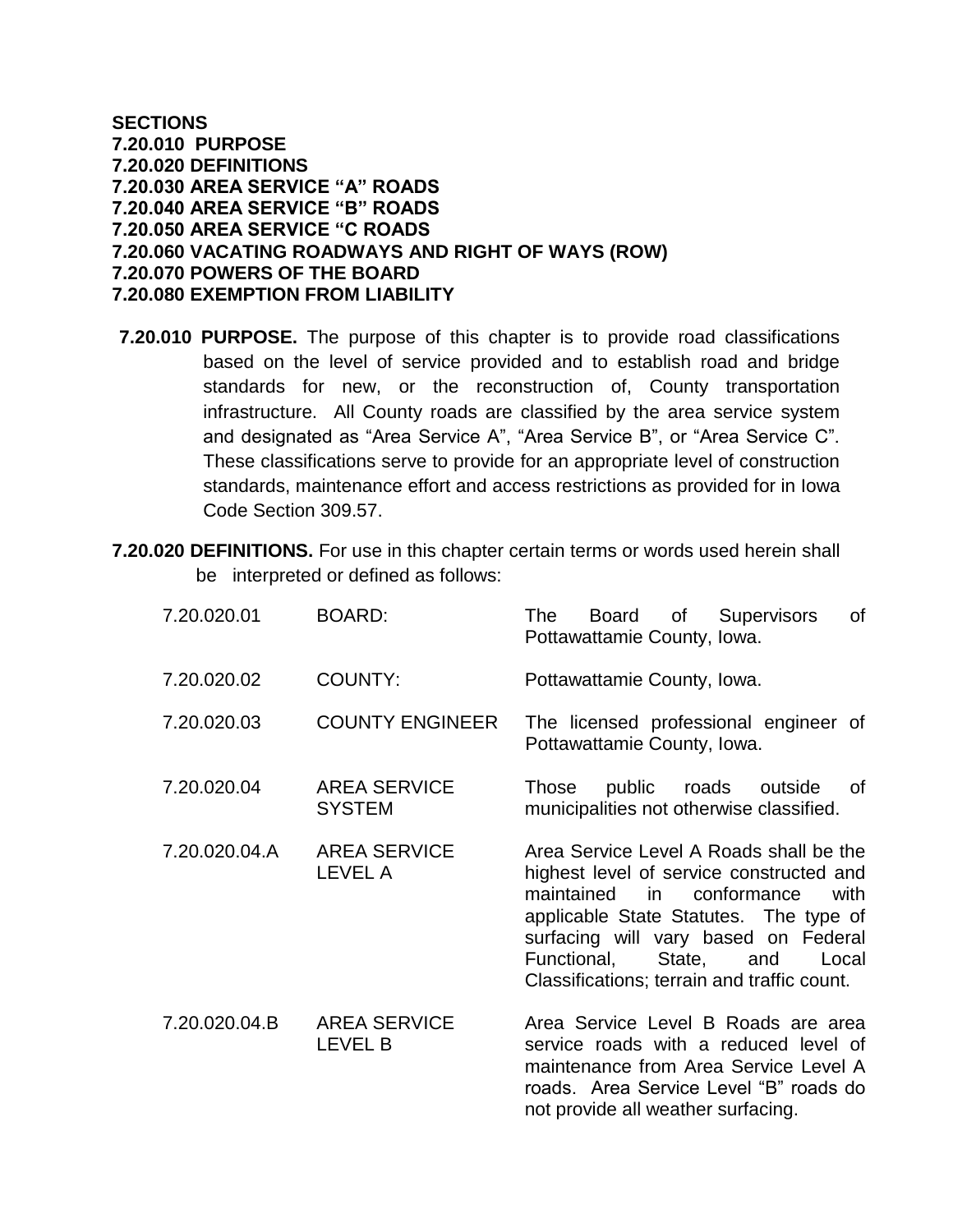## **SECTIONS 7.20.010 PURPOSE 7.20.020 DEFINITIONS 7.20.030 AREA SERVICE "A" ROADS 7.20.040 AREA SERVICE "B" ROADS 7.20.050 AREA SERVICE "C ROADS 7.20.060 VACATING ROADWAYS AND RIGHT OF WAYS (ROW) 7.20.070 POWERS OF THE BOARD 7.20.080 EXEMPTION FROM LIABILITY**

- **7.20.010 PURPOSE.** The purpose of this chapter is to provide road classifications based on the level of service provided and to establish road and bridge standards for new, or the reconstruction of, County transportation infrastructure. All County roads are classified by the area service system and designated as "Area Service A", "Area Service B", or "Area Service C". These classifications serve to provide for an appropriate level of construction standards, maintenance effort and access restrictions as provided for in Iowa Code Section 309.57.
- **7.20.020 DEFINITIONS.** For use in this chapter certain terms or words used herein shall be interpreted or defined as follows:

| 7.20.020.01   | <b>BOARD:</b>                         | of<br>Board of<br>Supervisors<br>The<br>Pottawattamie County, Iowa.                                                                                                                                                                                                                                     |
|---------------|---------------------------------------|---------------------------------------------------------------------------------------------------------------------------------------------------------------------------------------------------------------------------------------------------------------------------------------------------------|
| 7.20.020.02   | <b>COUNTY:</b>                        | Pottawattamie County, Iowa.                                                                                                                                                                                                                                                                             |
| 7.20.020.03   | <b>COUNTY ENGINEER</b>                | The licensed professional engineer of<br>Pottawattamie County, Iowa.                                                                                                                                                                                                                                    |
| 7.20.020.04   | <b>AREA SERVICE</b><br><b>SYSTEM</b>  | public roads<br>outside<br>0f<br>Those<br>municipalities not otherwise classified.                                                                                                                                                                                                                      |
| 7.20.020.04.A | <b>AREA SERVICE</b><br>LEVEL A        | Area Service Level A Roads shall be the<br>highest level of service constructed and<br>maintained<br>conformance<br>in l<br>with<br>applicable State Statutes. The type of<br>surfacing will vary based on Federal<br>Functional,<br>State, and<br>Local<br>Classifications; terrain and traffic count. |
| 7.20.020.04.B | <b>AREA SERVICE</b><br><b>LEVEL B</b> | Area Service Level B Roads are area<br>service roads with a reduced level of<br>maintenance from Area Service Level A<br>roads. Area Service Level "B" roads do<br>not provide all weather surfacing.                                                                                                   |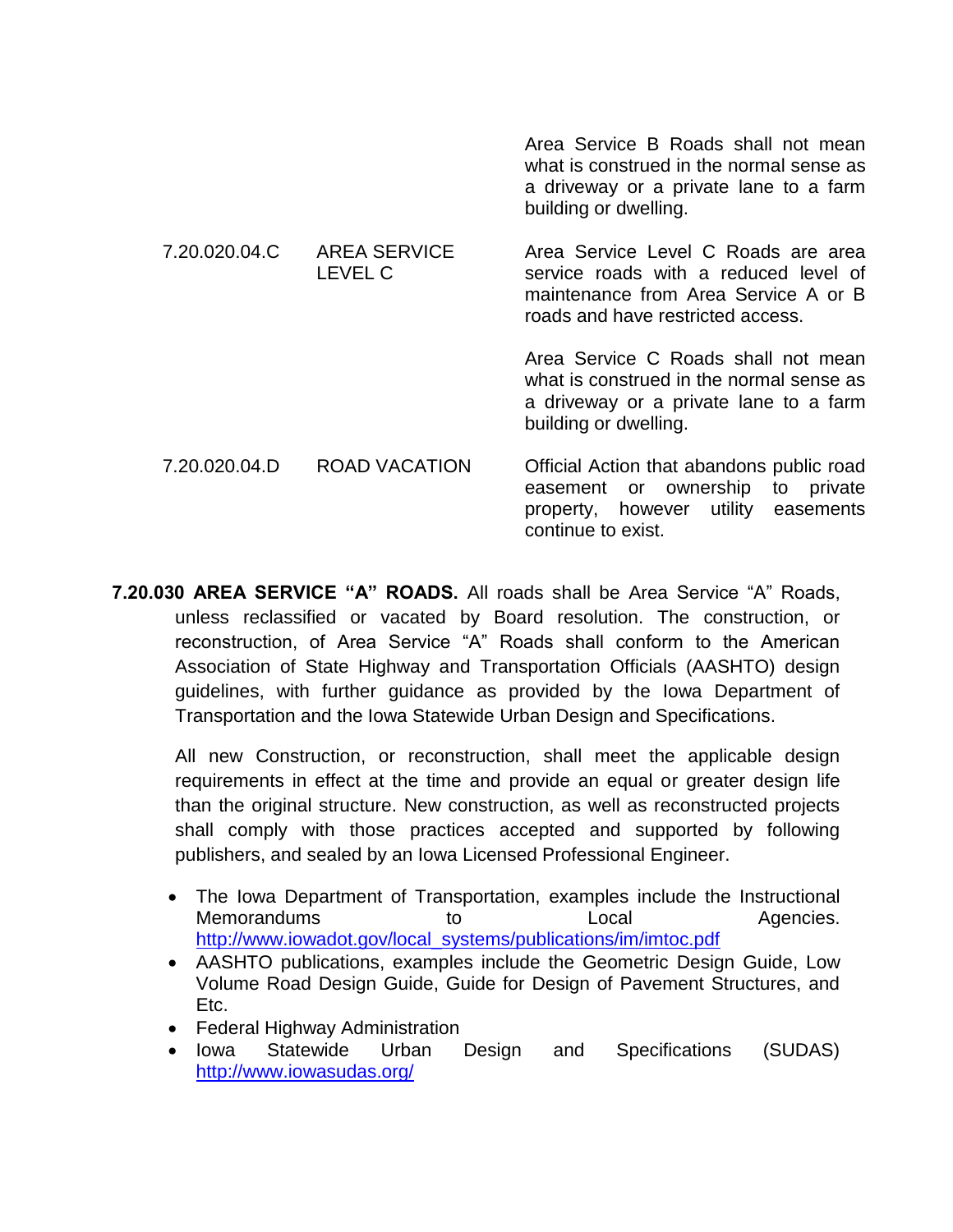|               |                                       | Area Service B Roads shall not mean<br>what is construed in the normal sense as<br>a driveway or a private lane to a farm<br>building or dwelling.        |
|---------------|---------------------------------------|-----------------------------------------------------------------------------------------------------------------------------------------------------------|
| 7.20.020.04.C | <b>AREA SERVICE</b><br><b>LEVEL C</b> | Area Service Level C Roads are area<br>service roads with a reduced level of<br>maintenance from Area Service A or B<br>roads and have restricted access. |
|               |                                       | Area Service C Roads shall not mean<br>what is construed in the normal sense as<br>a driveway or a private lane to a farm<br>building or dwelling.        |
| 7.20.020.04.D | ROAD VACATION                         | Official Action that abandons public road<br>easement or ownership to private<br>property, however utility easements<br>continue to exist.                |

**7.20.030 AREA SERVICE "A" ROADS.** All roads shall be Area Service "A" Roads, unless reclassified or vacated by Board resolution. The construction, or reconstruction, of Area Service "A" Roads shall conform to the American Association of State Highway and Transportation Officials (AASHTO) design guidelines, with further guidance as provided by the Iowa Department of Transportation and the Iowa Statewide Urban Design and Specifications.

All new Construction, or reconstruction, shall meet the applicable design requirements in effect at the time and provide an equal or greater design life than the original structure. New construction, as well as reconstructed projects shall comply with those practices accepted and supported by following publishers, and sealed by an Iowa Licensed Professional Engineer.

- The Iowa Department of Transportation, examples include the Instructional Memorandums to Local Agencies. [http://www.iowadot.gov/local\\_systems/publications/im/imtoc.pdf](http://www.iowadot.gov/local_systems/publications/im/imtoc.pdf)
- AASHTO publications, examples include the Geometric Design Guide, Low Volume Road Design Guide, Guide for Design of Pavement Structures, and Etc.
- Federal Highway Administration
- Iowa Statewide Urban Design and Specifications (SUDAS) <http://www.iowasudas.org/>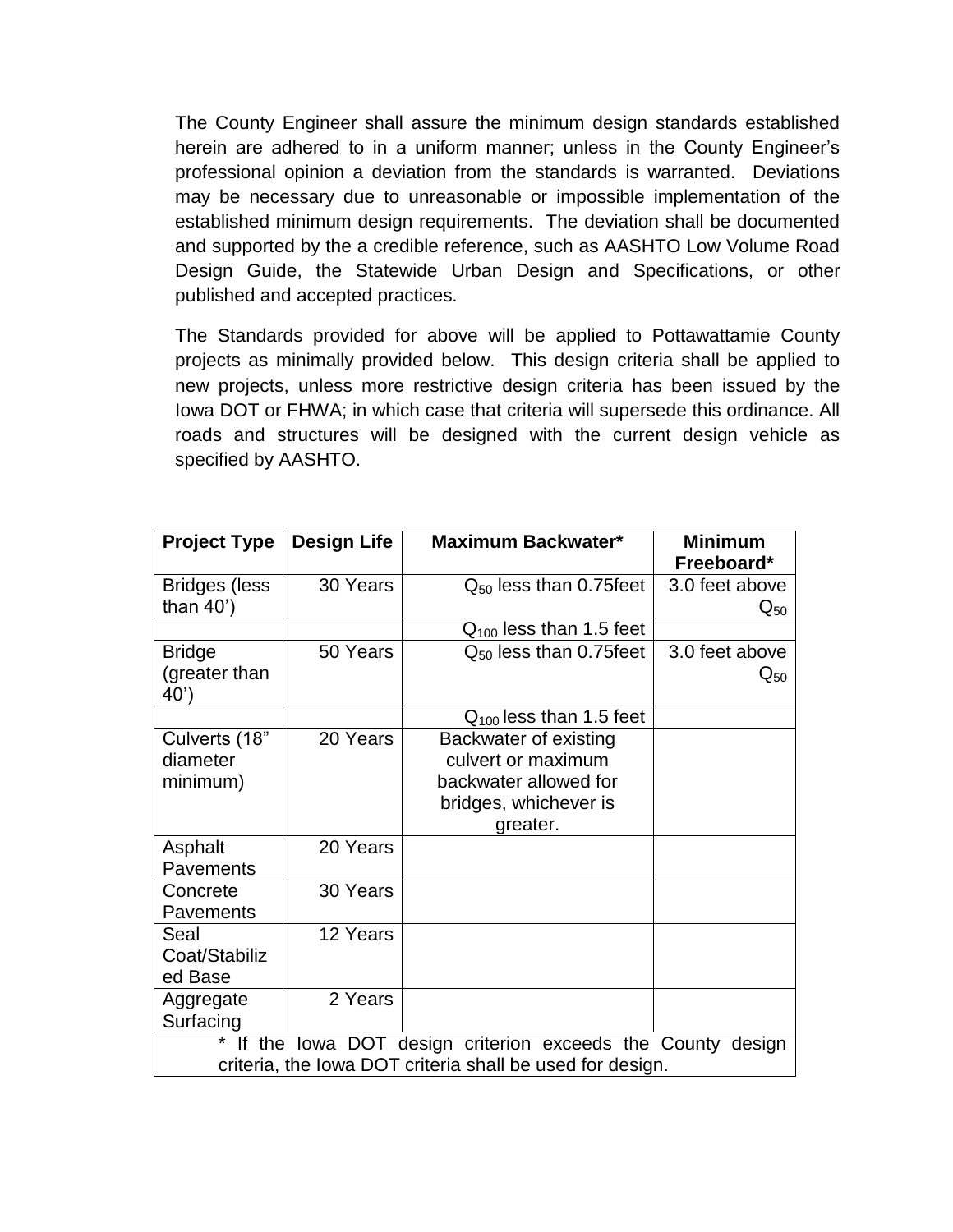The County Engineer shall assure the minimum design standards established herein are adhered to in a uniform manner; unless in the County Engineer's professional opinion a deviation from the standards is warranted. Deviations may be necessary due to unreasonable or impossible implementation of the established minimum design requirements. The deviation shall be documented and supported by the a credible reference, such as AASHTO Low Volume Road Design Guide, the Statewide Urban Design and Specifications, or other published and accepted practices.

The Standards provided for above will be applied to Pottawattamie County projects as minimally provided below. This design criteria shall be applied to new projects, unless more restrictive design criteria has been issued by the Iowa DOT or FHWA; in which case that criteria will supersede this ordinance. All roads and structures will be designed with the current design vehicle as specified by AASHTO.

| <b>Project Type</b>                                                                                                          | <b>Design Life</b> | Maximum Backwater*                                                                                        | <b>Minimum</b><br>Freeboard*        |
|------------------------------------------------------------------------------------------------------------------------------|--------------------|-----------------------------------------------------------------------------------------------------------|-------------------------------------|
| <b>Bridges (less</b><br>than $40'$ )                                                                                         | 30 Years           | $Q_{50}$ less than 0.75feet                                                                               | 3.0 feet above<br>$Q_{50}$          |
|                                                                                                                              |                    | $Q_{100}$ less than 1.5 feet                                                                              |                                     |
| <b>Bridge</b><br>(greater than<br>40')                                                                                       | 50 Years           | $Q_{50}$ less than 0.75 feet                                                                              | 3.0 feet above<br>$\mathsf{Q}_{50}$ |
|                                                                                                                              |                    | $Q_{100}$ less than 1.5 feet                                                                              |                                     |
| Culverts (18"<br>diameter<br>minimum)                                                                                        | 20 Years           | Backwater of existing<br>culvert or maximum<br>backwater allowed for<br>bridges, whichever is<br>greater. |                                     |
| Asphalt<br>Pavements                                                                                                         | 20 Years           |                                                                                                           |                                     |
| Concrete<br>Pavements                                                                                                        | 30 Years           |                                                                                                           |                                     |
| Seal<br>Coat/Stabiliz<br>ed Base                                                                                             | 12 Years           |                                                                                                           |                                     |
| Aggregate<br>Surfacing                                                                                                       | 2 Years            |                                                                                                           |                                     |
| *<br>If the Iowa DOT design criterion exceeds the County design<br>criteria, the lowa DOT criteria shall be used for design. |                    |                                                                                                           |                                     |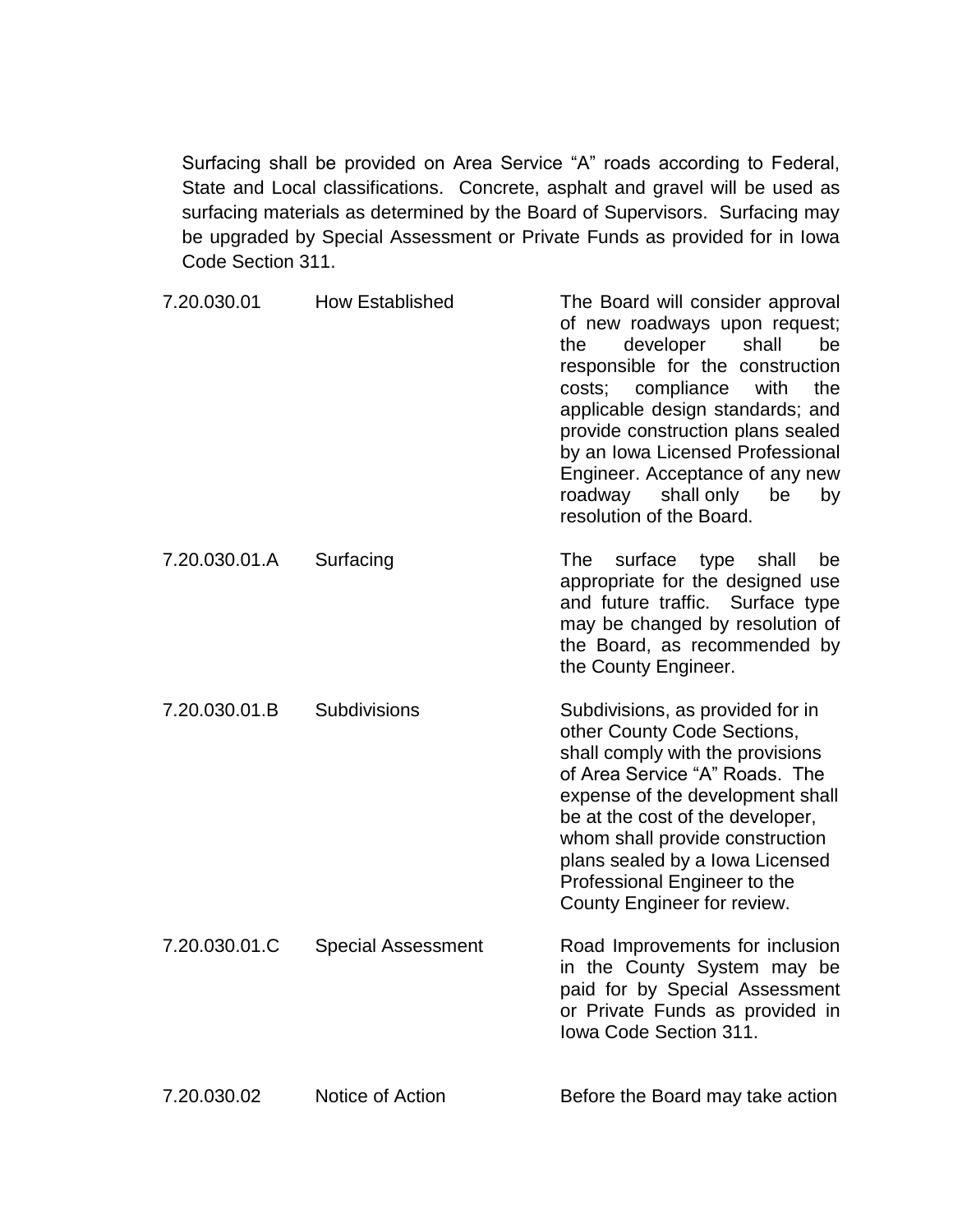Surfacing shall be provided on Area Service "A" roads according to Federal, State and Local classifications. Concrete, asphalt and gravel will be used as surfacing materials as determined by the Board of Supervisors. Surfacing may be upgraded by Special Assessment or Private Funds as provided for in Iowa Code Section 311.

| 7.20.030.01   | <b>How Established</b>    | The Board will consider approval<br>of new roadways upon request;<br>developer<br>shall<br>the<br>be<br>responsible for the construction<br>costs; compliance<br>with<br>the<br>applicable design standards; and<br>provide construction plans sealed<br>by an Iowa Licensed Professional<br>Engineer. Acceptance of any new<br>shall only<br>roadway<br>be<br>by<br>resolution of the Board. |
|---------------|---------------------------|-----------------------------------------------------------------------------------------------------------------------------------------------------------------------------------------------------------------------------------------------------------------------------------------------------------------------------------------------------------------------------------------------|
| 7.20.030.01.A | Surfacing                 | surface<br>The<br>type<br>shall<br>be<br>appropriate for the designed use<br>and future traffic. Surface type<br>may be changed by resolution of<br>the Board, as recommended by<br>the County Engineer.                                                                                                                                                                                      |
| 7.20.030.01.B | Subdivisions              | Subdivisions, as provided for in<br>other County Code Sections,<br>shall comply with the provisions<br>of Area Service "A" Roads. The<br>expense of the development shall<br>be at the cost of the developer,<br>whom shall provide construction<br>plans sealed by a Iowa Licensed<br>Professional Engineer to the<br>County Engineer for review.                                            |
| 7.20.030.01.C | <b>Special Assessment</b> | Road Improvements for inclusion<br>in the County System may be<br>paid for by Special Assessment<br>or Private Funds as provided in<br><b>Iowa Code Section 311.</b>                                                                                                                                                                                                                          |
| 7.20.030.02   | Notice of Action          | Before the Board may take action                                                                                                                                                                                                                                                                                                                                                              |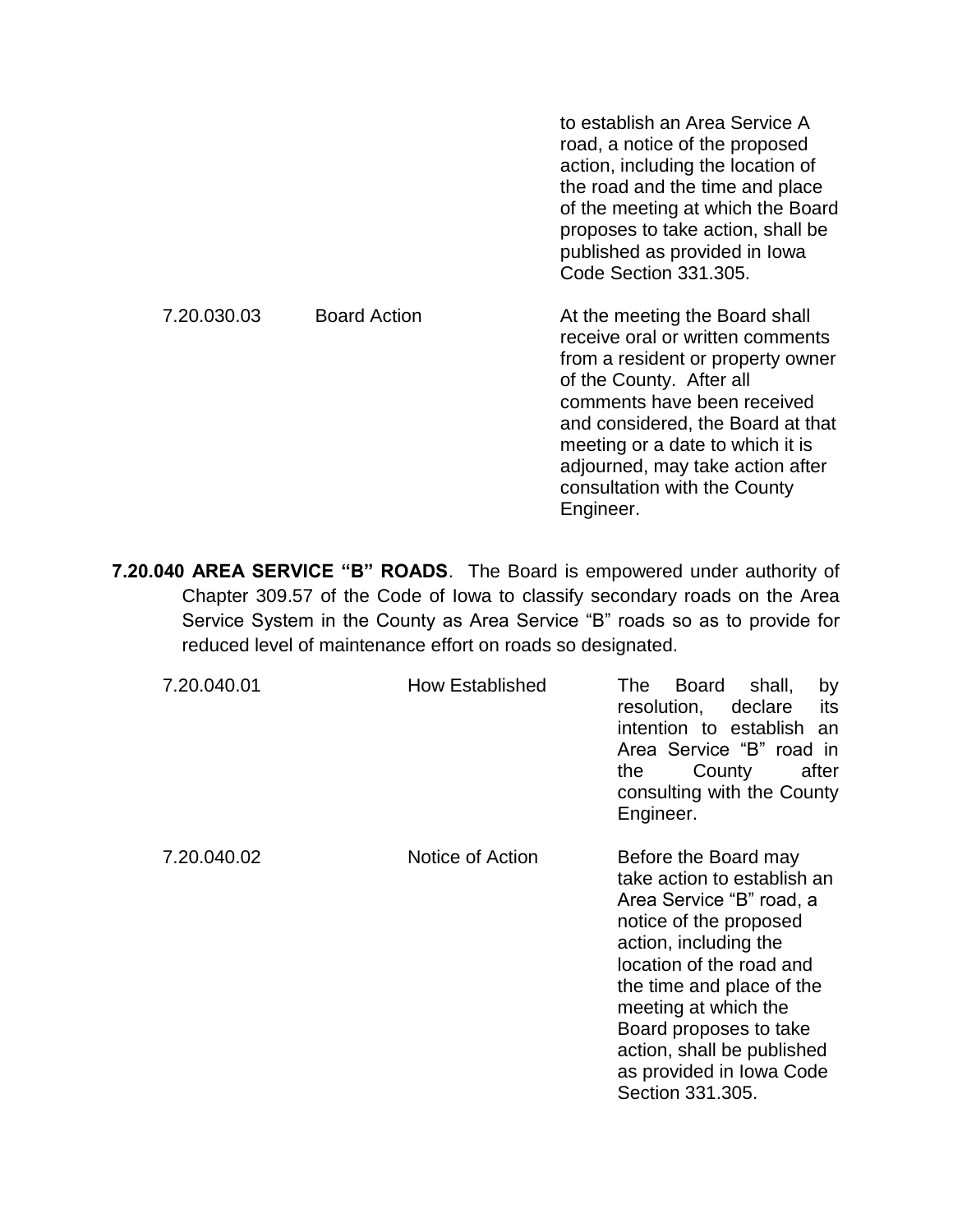|             |                     | to establish an Area Service A<br>road, a notice of the proposed<br>action, including the location of<br>the road and the time and place<br>of the meeting at which the Board<br>proposes to take action, shall be<br>published as provided in Iowa<br>Code Section 331.305.                                                 |
|-------------|---------------------|------------------------------------------------------------------------------------------------------------------------------------------------------------------------------------------------------------------------------------------------------------------------------------------------------------------------------|
| 7.20.030.03 | <b>Board Action</b> | At the meeting the Board shall<br>receive oral or written comments<br>from a resident or property owner<br>of the County. After all<br>comments have been received<br>and considered, the Board at that<br>meeting or a date to which it is<br>adjourned, may take action after<br>consultation with the County<br>Engineer. |

**7.20.040 AREA SERVICE "B" ROADS**. The Board is empowered under authority of Chapter 309.57 of the Code of Iowa to classify secondary roads on the Area Service System in the County as Area Service "B" roads so as to provide for reduced level of maintenance effort on roads so designated.

| 7.20.040.01 | <b>How Established</b> | <b>Board</b><br>shall,<br>The:<br>by<br>resolution,<br>declare<br>its<br>intention to establish an<br>Area Service "B" road in<br>County<br>after<br>the<br>consulting with the County<br>Engineer.                                                                                                                         |
|-------------|------------------------|-----------------------------------------------------------------------------------------------------------------------------------------------------------------------------------------------------------------------------------------------------------------------------------------------------------------------------|
| 7.20.040.02 | Notice of Action       | Before the Board may<br>take action to establish an<br>Area Service "B" road, a<br>notice of the proposed<br>action, including the<br>location of the road and<br>the time and place of the<br>meeting at which the<br>Board proposes to take<br>action, shall be published<br>as provided in Iowa Code<br>Section 331.305. |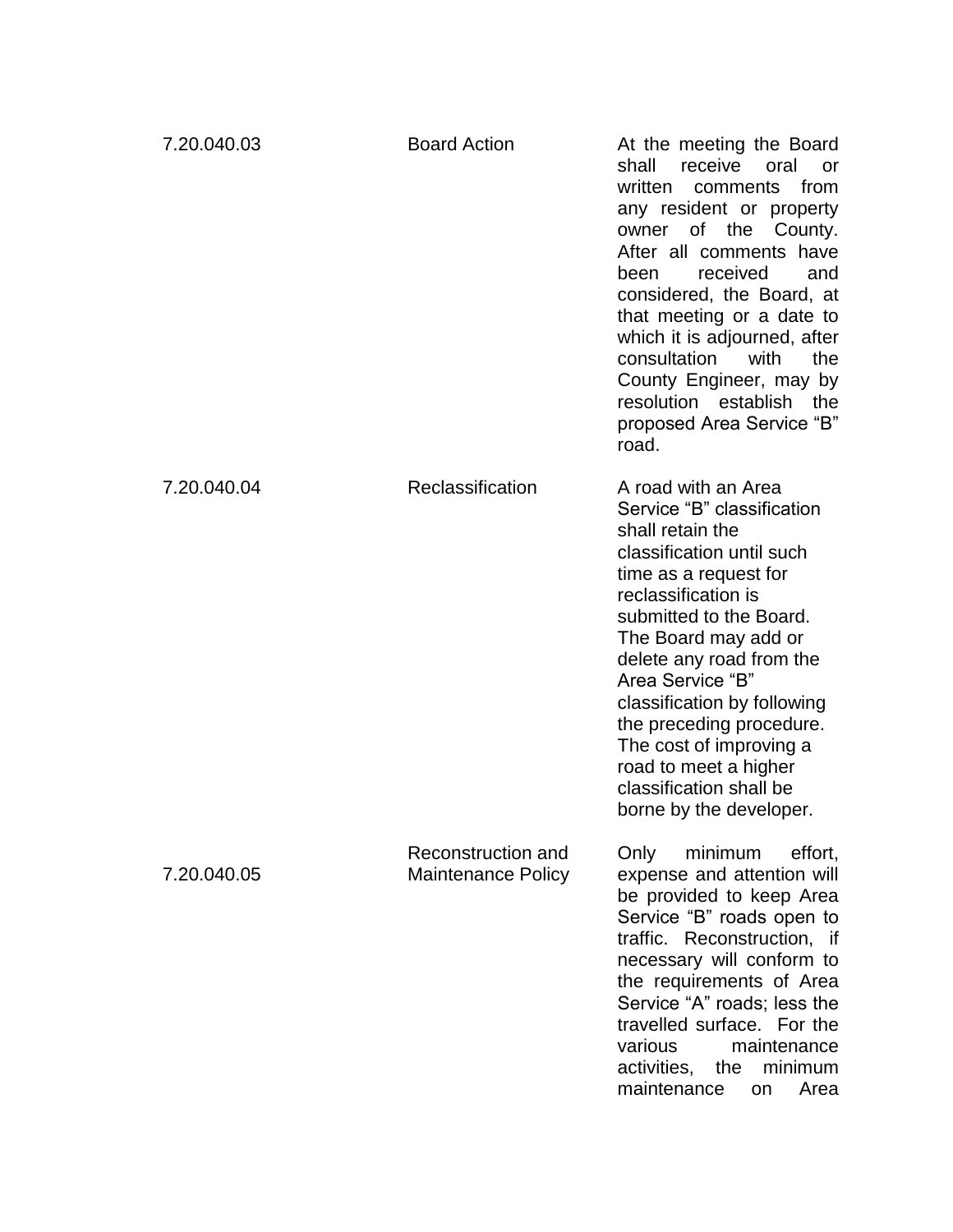| 7.20.040.03 | <b>Board Action</b>                             | At the meeting the Board<br>shall<br>receive<br>oral<br>or<br>written<br>from<br>comments<br>any resident or property<br>of<br>the<br>County.<br>owner<br>After all comments have<br>received<br>been<br>and<br>considered, the Board, at<br>that meeting or a date to<br>which it is adjourned, after<br>consultation<br>with<br>the<br>County Engineer, may by<br>resolution establish<br>the<br>proposed Area Service "B"<br>road. |
|-------------|-------------------------------------------------|---------------------------------------------------------------------------------------------------------------------------------------------------------------------------------------------------------------------------------------------------------------------------------------------------------------------------------------------------------------------------------------------------------------------------------------|
| 7.20.040.04 | Reclassification                                | A road with an Area<br>Service "B" classification<br>shall retain the<br>classification until such<br>time as a request for<br>reclassification is<br>submitted to the Board.<br>The Board may add or<br>delete any road from the<br>Area Service "B"<br>classification by following<br>the preceding procedure.<br>The cost of improving a<br>road to meet a higher<br>classification shall be<br>borne by the developer.            |
| 7.20.040.05 | Reconstruction and<br><b>Maintenance Policy</b> | minimum<br>Only<br>effort,<br>expense and attention will<br>be provided to keep Area<br>Service "B" roads open to<br>traffic. Reconstruction, if<br>necessary will conform to<br>the requirements of Area<br>Service "A" roads; less the<br>travelled surface. For the<br>various<br>maintenance<br>activities,<br>the<br>minimum<br>maintenance<br>Area<br>on                                                                        |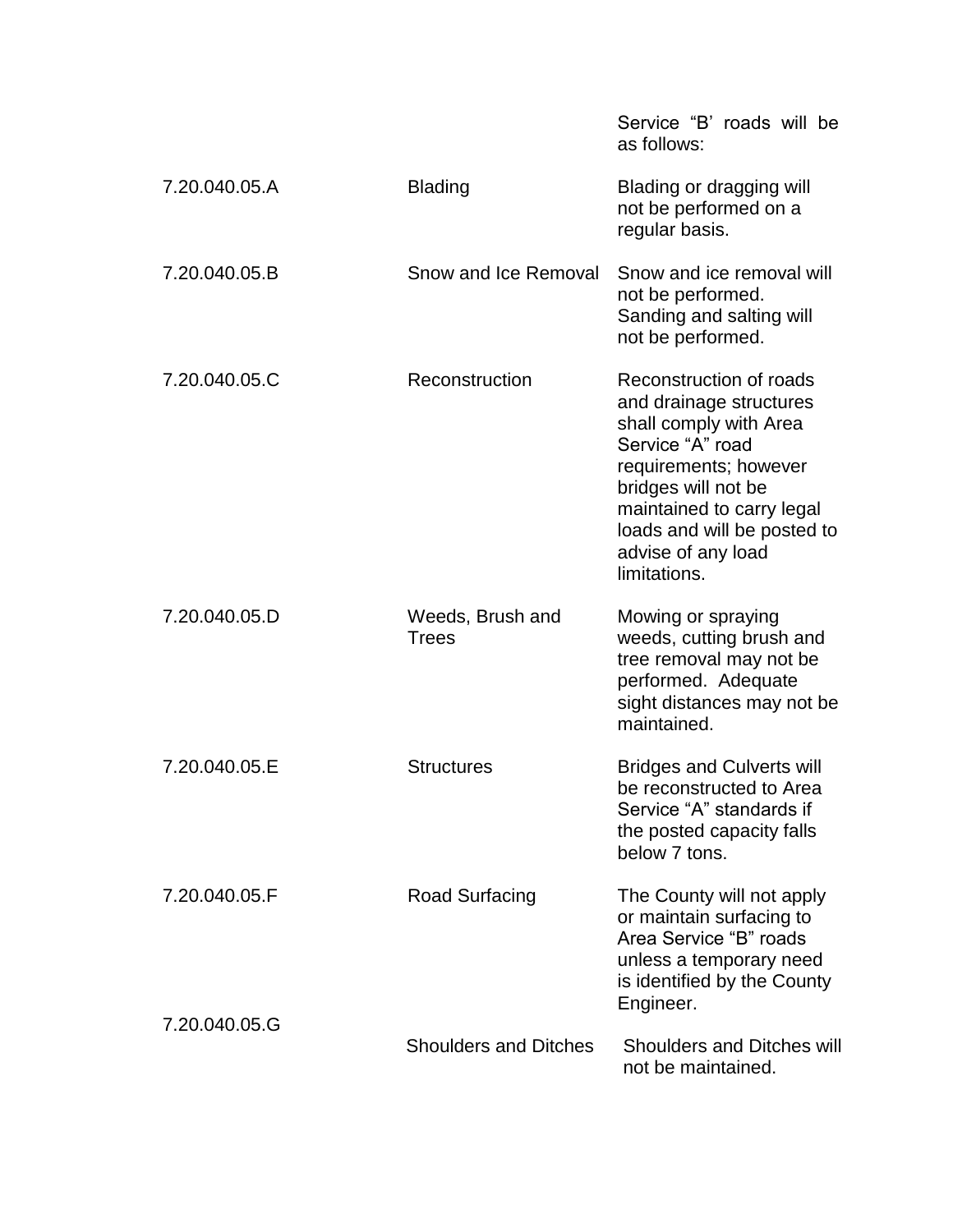|               |                                  | Service "B" roads will be<br>as follows:                                                                                                                                                                                                           |
|---------------|----------------------------------|----------------------------------------------------------------------------------------------------------------------------------------------------------------------------------------------------------------------------------------------------|
| 7.20.040.05.A | <b>Blading</b>                   | Blading or dragging will<br>not be performed on a<br>regular basis.                                                                                                                                                                                |
| 7.20.040.05.B | Snow and Ice Removal             | Snow and ice removal will<br>not be performed.<br>Sanding and salting will<br>not be performed.                                                                                                                                                    |
| 7.20.040.05.C | Reconstruction                   | Reconstruction of roads<br>and drainage structures<br>shall comply with Area<br>Service "A" road<br>requirements; however<br>bridges will not be<br>maintained to carry legal<br>loads and will be posted to<br>advise of any load<br>limitations. |
| 7.20.040.05.D | Weeds, Brush and<br><b>Trees</b> | Mowing or spraying<br>weeds, cutting brush and<br>tree removal may not be<br>performed. Adequate<br>sight distances may not be<br>maintained.                                                                                                      |
| 7.20.040.05.E | <b>Structures</b>                | <b>Bridges and Culverts will</b><br>be reconstructed to Area<br>Service "A" standards if<br>the posted capacity falls<br>below 7 tons.                                                                                                             |
| 7.20.040.05.F | Road Surfacing                   | The County will not apply<br>or maintain surfacing to<br>Area Service "B" roads<br>unless a temporary need<br>is identified by the County<br>Engineer.                                                                                             |
| 7.20.040.05.G | <b>Shoulders and Ditches</b>     | <b>Shoulders and Ditches will</b><br>not be maintained.                                                                                                                                                                                            |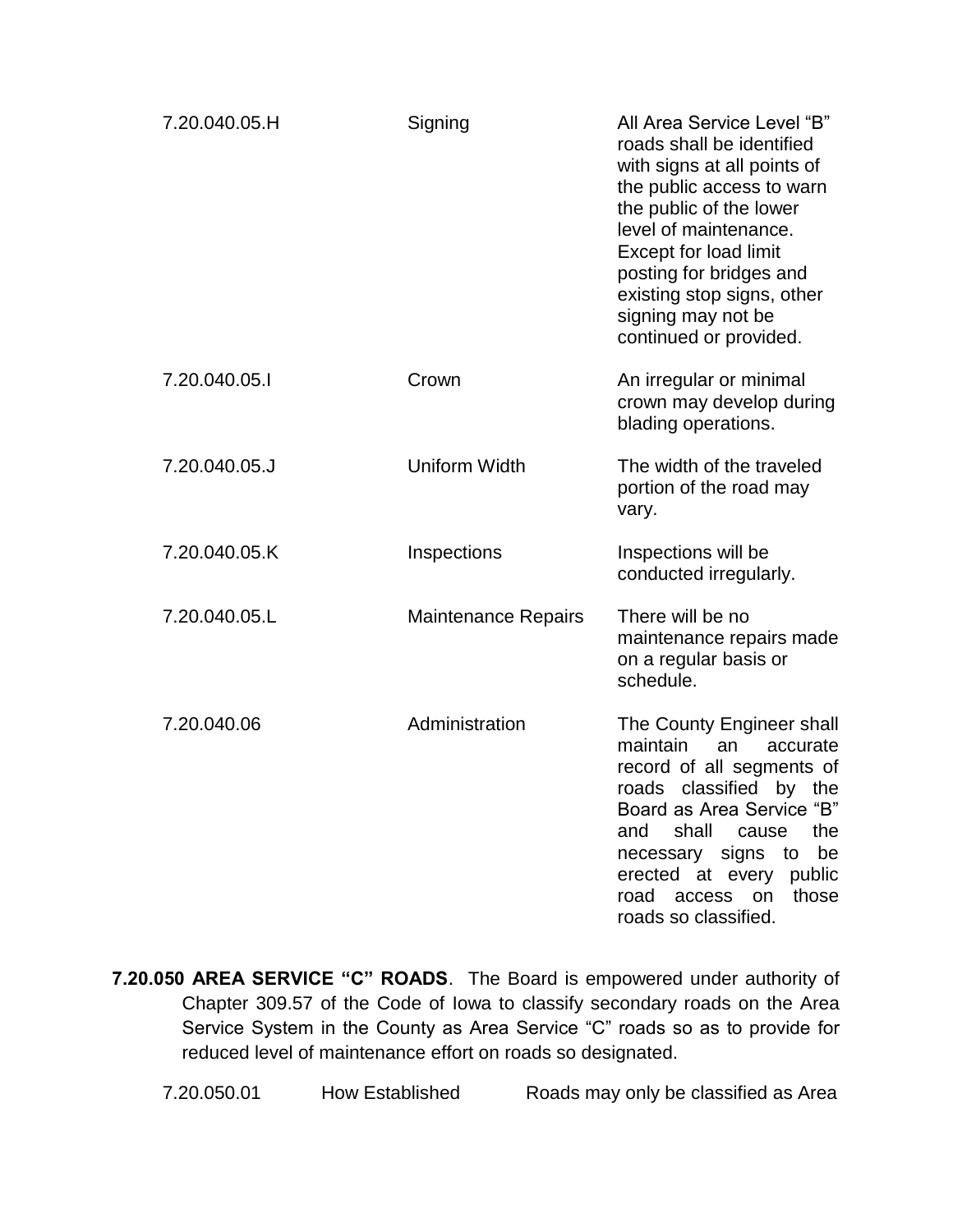| 7.20.040.05.H | Signing                    | All Area Service Level "B"<br>roads shall be identified<br>with signs at all points of<br>the public access to warn<br>the public of the lower<br>level of maintenance.<br>Except for load limit<br>posting for bridges and<br>existing stop signs, other<br>signing may not be<br>continued or provided. |
|---------------|----------------------------|-----------------------------------------------------------------------------------------------------------------------------------------------------------------------------------------------------------------------------------------------------------------------------------------------------------|
| 7.20.040.05.1 | Crown                      | An irregular or minimal<br>crown may develop during<br>blading operations.                                                                                                                                                                                                                                |
| 7.20.040.05.J | Uniform Width              | The width of the traveled<br>portion of the road may<br>vary.                                                                                                                                                                                                                                             |
| 7.20.040.05.K | Inspections                | Inspections will be<br>conducted irregularly.                                                                                                                                                                                                                                                             |
| 7.20.040.05.L | <b>Maintenance Repairs</b> | There will be no<br>maintenance repairs made<br>on a regular basis or<br>schedule.                                                                                                                                                                                                                        |
| 7.20.040.06   | Administration             | The County Engineer shall<br>maintain<br>accurate<br>an<br>record of all segments of<br>roads classified by the<br>Board as Area Service "B"<br>shall<br>the<br>and<br>cause<br>necessary signs to be<br>erected at every public<br>road access on those<br>roads so classified.                          |

**7.20.050 AREA SERVICE "C" ROADS**. The Board is empowered under authority of Chapter 309.57 of the Code of Iowa to classify secondary roads on the Area Service System in the County as Area Service "C" roads so as to provide for reduced level of maintenance effort on roads so designated.

7.20.050.01 How Established Roads may only be classified as Area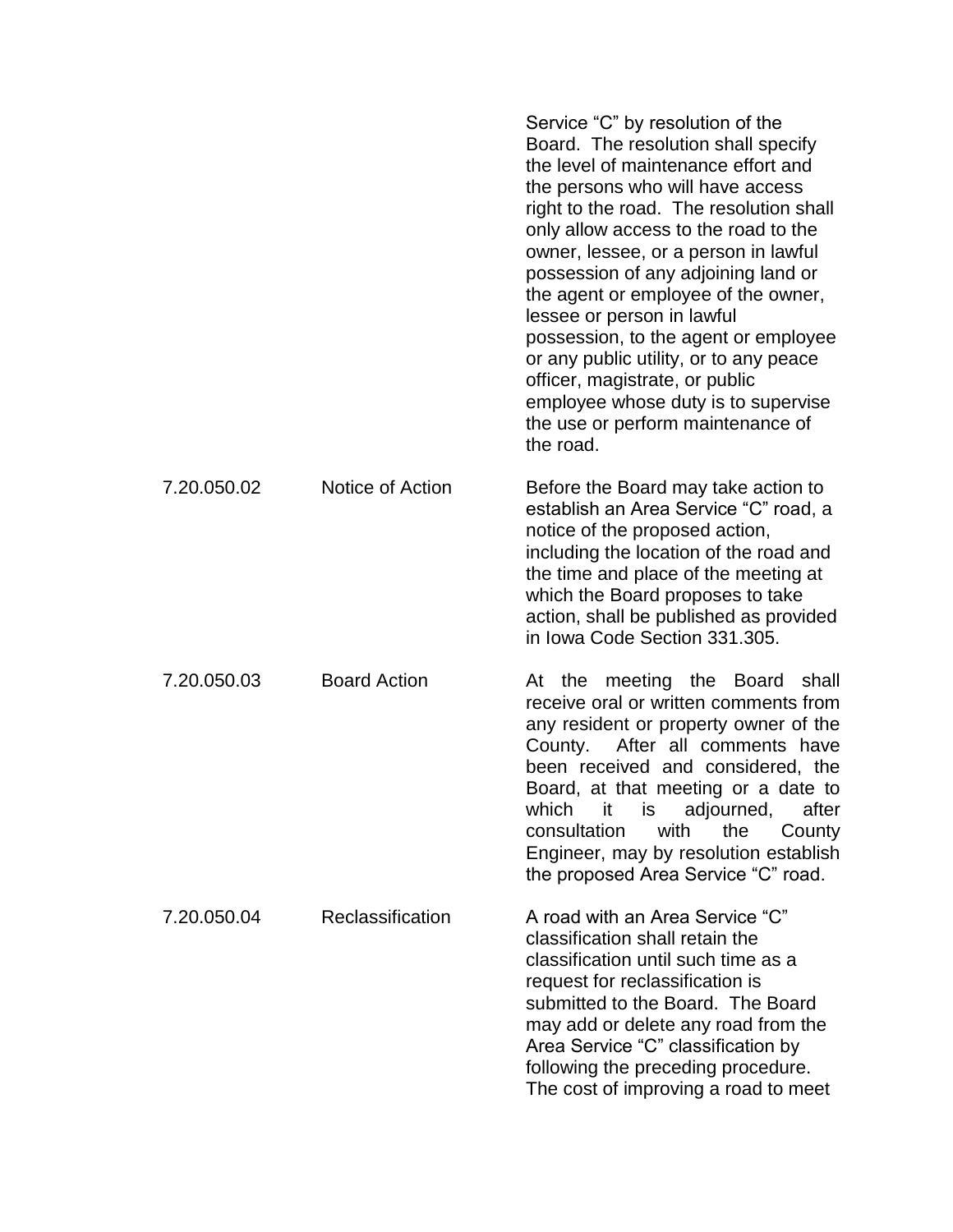|             |                     | Service "C" by resolution of the<br>Board. The resolution shall specify<br>the level of maintenance effort and<br>the persons who will have access<br>right to the road. The resolution shall<br>only allow access to the road to the<br>owner, lessee, or a person in lawful<br>possession of any adjoining land or<br>the agent or employee of the owner,<br>lessee or person in lawful<br>possession, to the agent or employee<br>or any public utility, or to any peace<br>officer, magistrate, or public<br>employee whose duty is to supervise<br>the use or perform maintenance of<br>the road. |
|-------------|---------------------|--------------------------------------------------------------------------------------------------------------------------------------------------------------------------------------------------------------------------------------------------------------------------------------------------------------------------------------------------------------------------------------------------------------------------------------------------------------------------------------------------------------------------------------------------------------------------------------------------------|
| 7.20.050.02 | Notice of Action    | Before the Board may take action to<br>establish an Area Service "C" road, a<br>notice of the proposed action,<br>including the location of the road and<br>the time and place of the meeting at<br>which the Board proposes to take<br>action, shall be published as provided<br>in Iowa Code Section 331.305.                                                                                                                                                                                                                                                                                        |
| 7.20.050.03 | <b>Board Action</b> | At the meeting the Board<br>shall<br>receive oral or written comments from<br>any resident or property owner of the<br>After all comments have<br>County.<br>been received and considered, the<br>Board, at that meeting or a date to<br>it is adjourned,<br>which<br>after<br>consultation<br>with<br>the<br>County<br>Engineer, may by resolution establish<br>the proposed Area Service "C" road.                                                                                                                                                                                                   |
| 7.20.050.04 | Reclassification    | A road with an Area Service "C"<br>classification shall retain the<br>classification until such time as a<br>request for reclassification is<br>submitted to the Board. The Board<br>may add or delete any road from the<br>Area Service "C" classification by<br>following the preceding procedure.<br>The cost of improving a road to meet                                                                                                                                                                                                                                                           |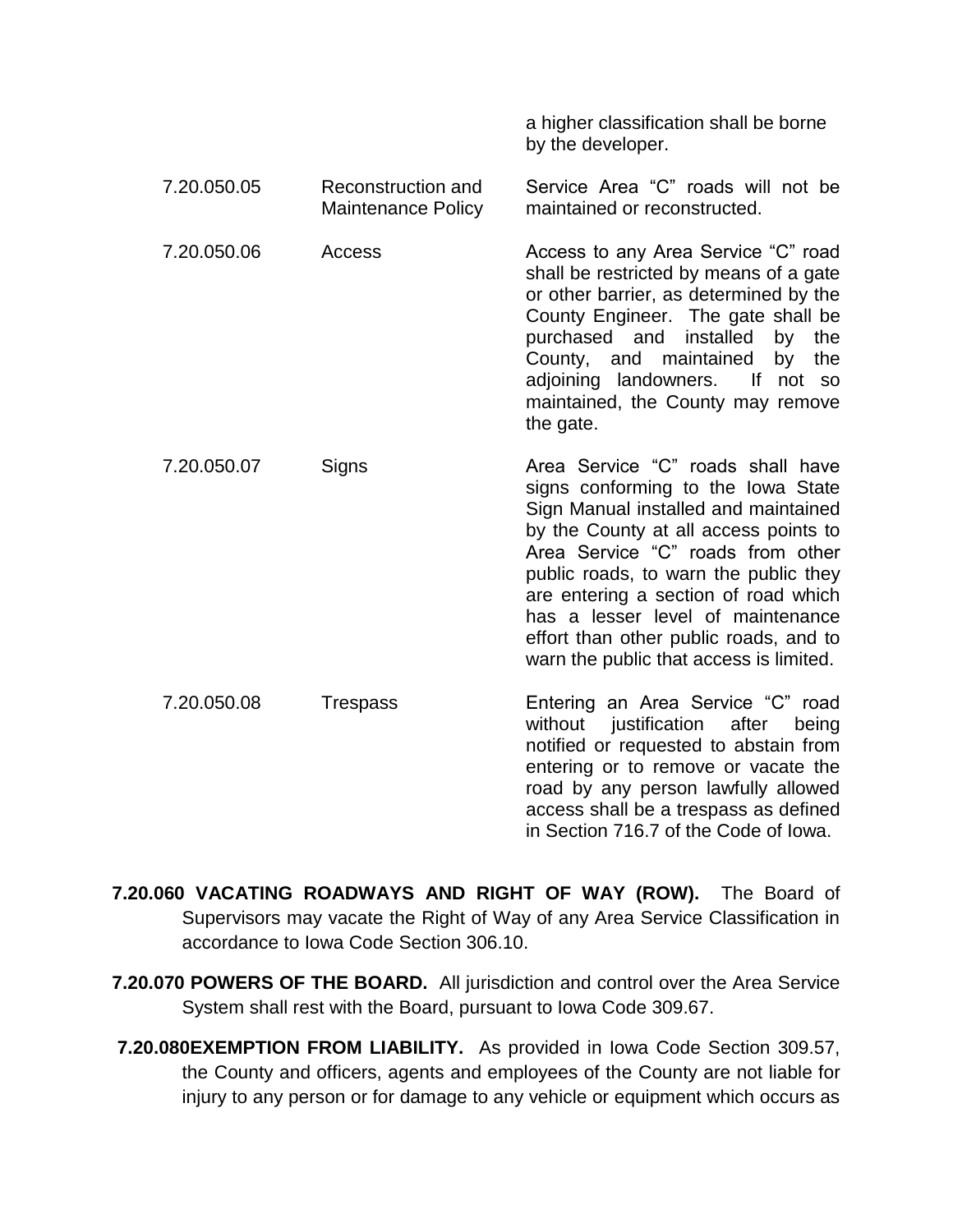|             |                                                 | by the developer.                                                                                                                                                                                                                                                                                                                                                                                        |
|-------------|-------------------------------------------------|----------------------------------------------------------------------------------------------------------------------------------------------------------------------------------------------------------------------------------------------------------------------------------------------------------------------------------------------------------------------------------------------------------|
| 7.20.050.05 | Reconstruction and<br><b>Maintenance Policy</b> | Service Area "C" roads will not be<br>maintained or reconstructed.                                                                                                                                                                                                                                                                                                                                       |
| 7.20.050.06 | Access                                          | Access to any Area Service "C" road<br>shall be restricted by means of a gate<br>or other barrier, as determined by the<br>County Engineer. The gate shall be<br>purchased and installed<br>by<br>the<br>County, and maintained<br>by<br>the<br>adjoining landowners. If not so<br>maintained, the County may remove<br>the gate.                                                                        |
| 7.20.050.07 | Signs                                           | Area Service "C" roads shall have<br>signs conforming to the Iowa State<br>Sign Manual installed and maintained<br>by the County at all access points to<br>Area Service "C" roads from other<br>public roads, to warn the public they<br>are entering a section of road which<br>has a lesser level of maintenance<br>effort than other public roads, and to<br>warn the public that access is limited. |
| 7.20.050.08 | Trespass                                        | Entering an Area Service "C" road<br>without justification after<br>being<br>notified or requested to abstain from<br>entering or to remove or vacate the<br>road by any person lawfully allowed<br>access shall be a trespass as defined<br>in Section 716.7 of the Code of Iowa.                                                                                                                       |

a higher classification shall be borne

- **7.20.060 VACATING ROADWAYS AND RIGHT OF WAY (ROW).** The Board of Supervisors may vacate the Right of Way of any Area Service Classification in accordance to Iowa Code Section 306.10.
- **7.20.070 POWERS OF THE BOARD.** All jurisdiction and control over the Area Service System shall rest with the Board, pursuant to Iowa Code 309.67.
- **7.20.080EXEMPTION FROM LIABILITY.** As provided in Iowa Code Section 309.57, the County and officers, agents and employees of the County are not liable for injury to any person or for damage to any vehicle or equipment which occurs as